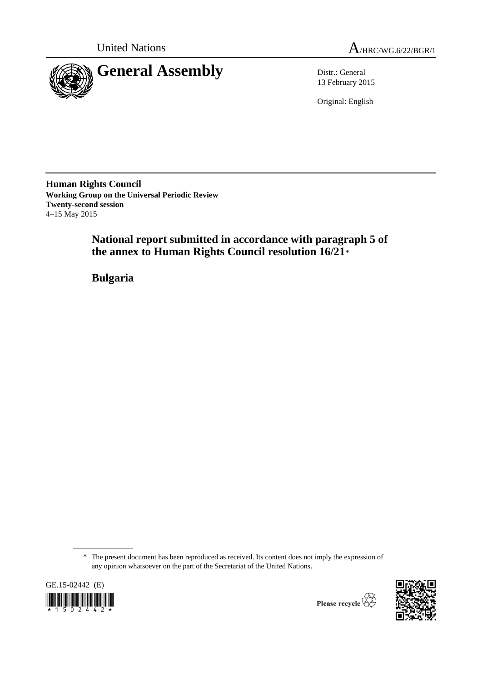



13 February 2015

Original: English

**Human Rights Council Working Group on the Universal Periodic Review Twenty-second session** 4–15 May 2015

> **National report submitted in accordance with paragraph 5 of the annex to Human Rights Council resolution 16/21**\*

**Bulgaria**

<sup>\*</sup> The present document has been reproduced as received. Its content does not imply the expression of any opinion whatsoever on the part of the Secretariat of the United Nations.





Please recycle  $\overleftrightarrow{C}$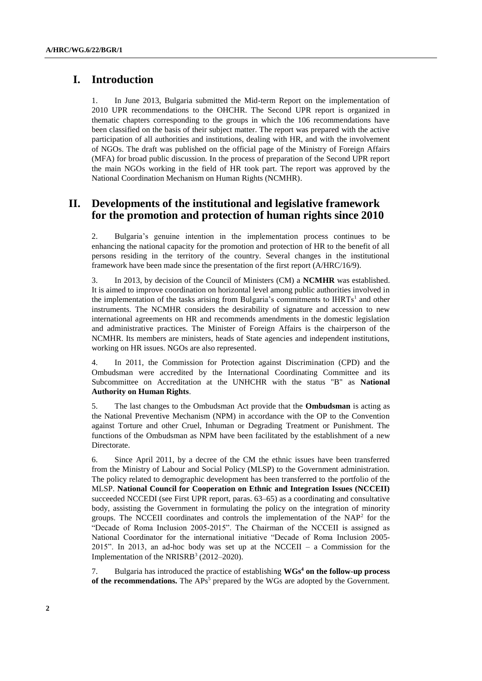## **I. Introduction**

1. In June 2013, Bulgaria submitted the Mid-term Report on the implementation of 2010 UPR recommendations to the OHCHR. The Second UPR report is organized in thematic chapters corresponding to the groups in which the 106 recommendations have been classified on the basis of their subject matter. The report was prepared with the active participation of all authorities and institutions, dealing with HR, and with the involvement of NGOs. The draft was published on the official page of the Ministry of Foreign Affairs (MFA) for broad public discussion. In the process of preparation of the Second UPR report the main NGOs working in the field of HR took part. The report was approved by the National Coordination Mechanism on Human Rights (NCMHR).

## **II. Developments of the institutional and legislative framework for the promotion and protection of human rights since 2010**

2. Bulgaria's genuine intention in the implementation process continues to be enhancing the national capacity for the promotion and protection of HR to the benefit of all persons residing in the territory of the country. Several changes in the institutional framework have been made since the presentation of the first report (A/HRC/16/9).

3. In 2013, by decision of the Council of Ministers (CM) a **NCMHR** was established. It is aimed to improve coordination on horizontal level among public authorities involved in the implementation of the tasks arising from Bulgaria's commitments to  $I H R T s<sup>1</sup>$  and other instruments. The NCMHR considers the desirability of signature and accession to new international agreements on HR and recommends amendments in the domestic legislation and administrative practices. The Minister of Foreign Affairs is the chairperson of the NCMHR. Its members are ministers, heads of State agencies and independent institutions, working on HR issues. NGOs are also represented.

4. In 2011, the Commission for Protection against Discrimination (CPD) and the Ombudsman were accredited by the International Coordinating Committee and its Subcommittee on Accreditation at the UNHCHR with the status "B" as **National Authority on Human Rights**.

5. The last changes to the Ombudsman Act provide that the **Ombudsman** is acting as the National Preventive Mechanism (NPM) in accordance with the OP to the Convention against Torture and other Cruel, Inhuman or Degrading Treatment or Punishment. The functions of the Ombudsman as NPM have been facilitated by the establishment of a new Directorate.

6. Since April 2011, by a decree of the CM the ethnic issues have been transferred from the Ministry of Labour and Social Policy (MLSP) to the Government administration. The policy related to demographic development has been transferred to the portfolio of the MLSP. **National Council for Cooperation on Ethnic and Integration Issues (NCCEII)**  succeeded NCCEDI (see First UPR report, paras. 63–65) as a coordinating and consultative body, assisting the Government in formulating the policy on the integration of minority groups. The NCCEII coordinates and controls the implementation of the  $NAP<sup>2</sup>$  for the "Decade of Roma Inclusion 2005-2015". The Chairman of the NCCEII is assigned as National Coordinator for the international initiative "Decade of Roma Inclusion 2005- 2015". In 2013, an ad-hoc body was set up at the NCCEII – a Commission for the Implementation of the NRISRB<sup>3</sup> (2012-2020).

7. Bulgaria has introduced the practice of establishing **WGs<sup>4</sup> on the follow-up process**  of the recommendations. The APs<sup>5</sup> prepared by the WGs are adopted by the Government.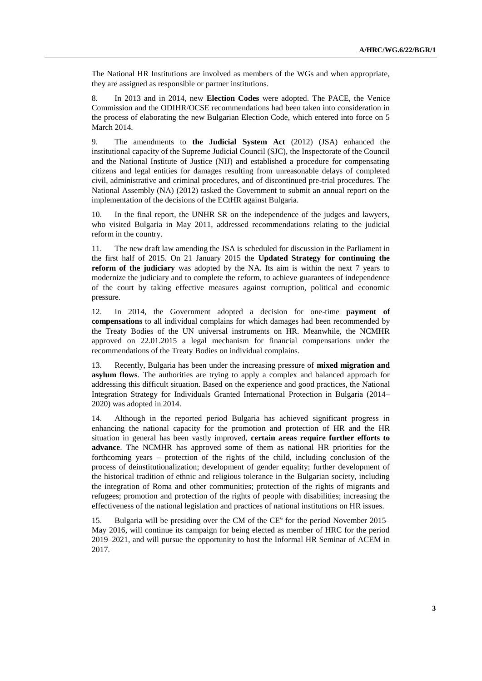The National HR Institutions are involved as members of the WGs and when appropriate, they are assigned as responsible or partner institutions.

8. In 2013 and in 2014, new **Election Codes** were adopted. The PACE, the Venice Commission and the ODIHR/OCSE recommendations had been taken into consideration in the process of elaborating the new Bulgarian Election Code, which entered into force on 5 March 2014.

9. The amendments to **the Judicial System Act** (2012) (JSA) enhanced the institutional capacity of the Supreme Judicial Council (SJC), the Inspectorate of the Council and the National Institute of Justice (NIJ) and established a procedure for compensating citizens and legal entities for damages resulting from unreasonable delays of completed civil, administrative and criminal procedures, and of discontinued pre-trial procedures. The National Assembly (NA) (2012) tasked the Government to submit an annual report on the implementation of the decisions of the ECtHR against Bulgaria.

10. In the final report, the UNHR SR on the independence of the judges and lawyers, who visited Bulgaria in May 2011, addressed recommendations relating to the judicial reform in the country.

11. The new draft law amending the JSA is scheduled for discussion in the Parliament in the first half of 2015. On 21 January 2015 the **Updated Strategy for continuing the reform of the judiciary** was adopted by the NA. Its aim is within the next 7 years to modernize the judiciary and to complete the reform, to achieve guarantees of independence of the court by taking effective measures against corruption, political and economic pressure.

12. In 2014, the Government adopted a decision for one-time **payment of compensations** to all individual complains for which damages had been recommended by the Treaty Bodies of the UN universal instruments on HR. Meanwhile, the NCMHR approved on 22.01.2015 a legal mechanism for financial compensations under the recommendations of the Treaty Bodies on individual complains.

13. Recently, Bulgaria has been under the increasing pressure of **mixed migration and asylum flows**. The authorities are trying to apply a complex and balanced approach for addressing this difficult situation. Based on the experience and good practices, the National Integration Strategy for Individuals Granted International Protection in Bulgaria (2014– 2020) was adopted in 2014.

14. Although in the reported period Bulgaria has achieved significant progress in enhancing the national capacity for the promotion and protection of HR and the HR situation in general has been vastly improved, **certain areas require further efforts to advance**. The NCMHR has approved some of them as national HR priorities for the forthcoming years – protection of the rights of the child, including conclusion of the process of deinstitutionalization; development of gender equality; further development of the historical tradition of ethnic and religious tolerance in the Bulgarian society, including the integration of Roma and other communities; protection of the rights of migrants and refugees; promotion and protection of the rights of people with disabilities; increasing the effectiveness of the national legislation and practices of national institutions on HR issues.

15. Bulgaria will be presiding over the CM of the CE<sup>6</sup> for the period November 2015– May 2016, will continue its campaign for being elected as member of HRC for the period 2019–2021, and will pursue the opportunity to host the Informal HR Seminar of ACEM in 2017.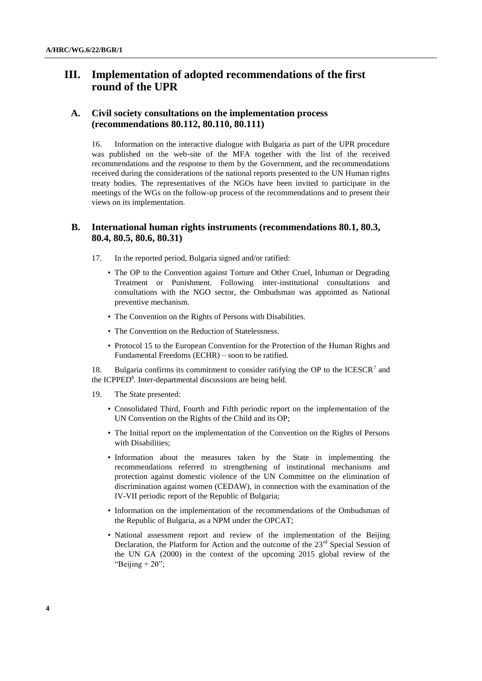# **III. Implementation of adopted recommendations of the first round of the UPR**

#### **A. Civil society consultations on the implementation process (recommendations 80.112, 80.110, 80.111)**

16. Information on the interactive dialogue with Bulgaria as part of the UPR procedure was published on the web-site of the MFA together with the list of the received recommendations and the response to them by the Government, and the recommendations received during the considerations of the national reports presented to the UN Human rights treaty bodies. The representatives of the NGOs have been invited to participate in the meetings of the WGs on the follow-up process of the recommendations and to present their views on its implementation.

#### **B. International human rights instruments (recommendations 80.1, 80.3, 80.4, 80.5, 80.6, 80.31)**

- 17. In the reported period, Bulgaria signed and/or ratified:
	- The OP to the Convention against Torture and Other Cruel, Inhuman or Degrading Treatment or Punishment. Following inter-institutional consultations and consultations with the NGO sector, the Ombudsman was appointed as National preventive mechanism.
	- The Convention on the Rights of Persons with Disabilities.
	- The Convention on the Reduction of Statelessness.
	- Protocol 15 to the European Convention for the Protection of the Human Rights and Fundamental Freedoms (ECHR) – soon to be ratified.

18. Bulgaria confirms its commitment to consider ratifying the OP to the  $ICESCR<sup>7</sup>$  and the ICPPED<sup>8</sup>. Inter-departmental discussions are being held.

- 19. The State presented:
	- Consolidated Third, Fourth and Fifth periodic report on the implementation of the UN Convention on the Rights of the Child and its OP;
	- The Initial report on the implementation of the Convention on the Rights of Persons with Disabilities;
	- Information about the measures taken by the State in implementing the recommendations referred to strengthening of institutional mechanisms and protection against domestic violence of the UN Committee on the elimination of discrimination against women (CEDAW), in connection with the examination of the IV-VII periodic report of the Republic of Bulgaria;
	- Information on the implementation of the recommendations of the Ombudsman of the Republic of Bulgaria, as a NPM under the OPCAT;
	- National assessment report and review of the implementation of the Beijing Declaration, the Platform for Action and the outcome of the  $23<sup>rd</sup>$  Special Session of the UN GA (2000) in the context of the upcoming 2015 global review of the "Beijing  $+20$ ";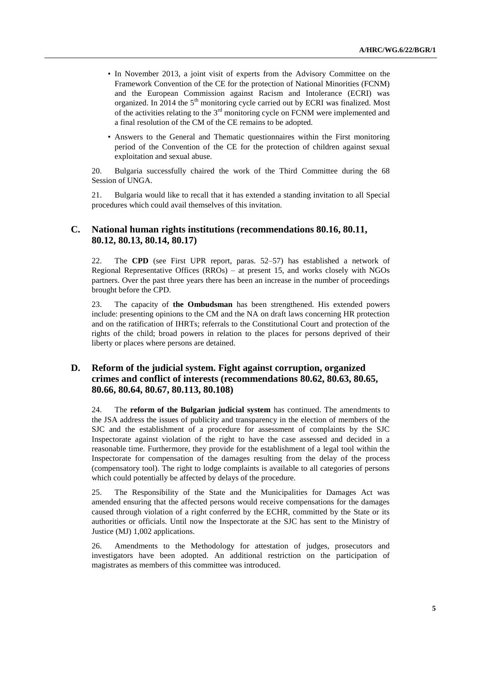- In November 2013, a joint visit of experts from the Advisory Committee on the Framework Convention of the CE for the protection of National Minorities (FCNM) and the European Commission against Racism and Intolerance (ECRI) was organized. In 2014 the  $5<sup>th</sup>$  monitoring cycle carried out by ECRI was finalized. Most of the activities relating to the  $3<sup>rd</sup>$  monitoring cycle on FCNM were implemented and a final resolution of the CM of the CE remains to be adopted.
- Answers to the General and Thematic questionnaires within the First monitoring period of the Convention of the CE for the protection of children against sexual exploitation and sexual abuse.

20. Bulgaria successfully chaired the work of the Third Committee during the 68 Session of UNGA.

21. Bulgaria would like to recall that it has extended a standing invitation to all Special procedures which could avail themselves of this invitation.

#### **C. National human rights institutions (recommendations 80.16, 80.11, 80.12, 80.13, 80.14, 80.17)**

22. The **CPD** (see First UPR report, paras. 52–57) has established a network of Regional Representative Offices (RROs) – at present 15, and works closely with NGOs partners. Over the past three years there has been an increase in the number of proceedings brought before the CPD.

23. The capacity of **the Ombudsman** has been strengthened. His extended powers include: presenting opinions to the CM and the NA on draft laws concerning HR protection and on the ratification of IHRTs; referrals to the Constitutional Court and protection of the rights of the child; broad powers in relation to the places for persons deprived of their liberty or places where persons are detained.

### **D. Reform of the judicial system. Fight against corruption, organized crimes and conflict of interests (recommendations 80.62, 80.63, 80.65, 80.66, 80.64, 80.67, 80.113, 80.108)**

24. The **reform of the Bulgarian judicial system** has continued. The amendments to the JSA address the issues of publicity and transparency in the election of members of the SJC and the establishment of a procedure for assessment of complaints by the SJC Inspectorate against violation of the right to have the case assessed and decided in a reasonable time. Furthermore, they provide for the establishment of a legal tool within the Inspectorate for compensation of the damages resulting from the delay of the process (compensatory tool). The right to lodge complaints is available to all categories of persons which could potentially be affected by delays of the procedure.

25. The Responsibility of the State and the Municipalities for Damages Act was amended ensuring that the affected persons would receive compensations for the damages caused through violation of a right conferred by the ECHR, committed by the State or its authorities or officials. Until now the Inspectorate at the SJC has sent to the Ministry of Justice (MJ) 1,002 applications.

26. Amendments to the Methodology for attestation of judges, prosecutors and investigators have been adopted. An additional restriction on the participation of magistrates as members of this committee was introduced.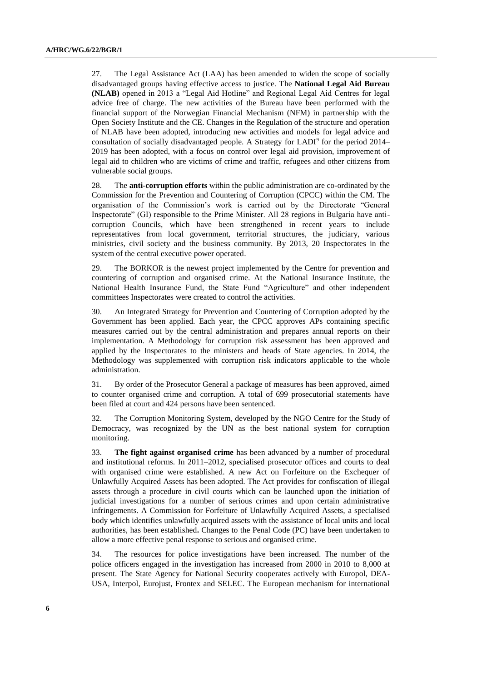27. The Legal Assistance Act (LAA) has been amended to widen the scope of socially disadvantaged groups having effective access to justice. The **National Legal Aid Bureau (NLAB)** opened in 2013 a "Legal Aid Hotline" and Regional Legal Aid Centres for legal advice free of charge. The new activities of the Bureau have been performed with the financial support of the Norwegian Financial Mechanism (NFM) in partnership with the Open Society Institute and the CE. Changes in the Regulation of the structure and operation of NLAB have been adopted, introducing new activities and models for legal advice and consultation of socially disadvantaged people. A Strategy for LADI<sup>9</sup> for the period 2014– 2019 has been adopted, with a focus on control over legal aid provision, improvement of legal aid to children who are victims of crime and traffic, refugees and other citizens from vulnerable social groups.

28. The **anti-corruption efforts** within the public administration are co-ordinated by the Commission for the Prevention and Countering of Corruption (CPCC) within the CM. The organisation of the Commission's work is carried out by the Directorate "General Inspectorate" (GI) responsible to the Prime Minister. All 28 regions in Bulgaria have anticorruption Councils, which have been strengthened in recent years to include representatives from local government, territorial structures, the judiciary, various ministries, civil society and the business community. By 2013, 20 Inspectorates in the system of the central executive power operated.

29. The BORKOR is the newest project implemented by the Centre for prevention and countering of corruption and organised crime. At the National Insurance Institute, the National Health Insurance Fund, the State Fund "Agriculture" and other independent committees Inspectorates were created to control the activities.

30. An Integrated Strategy for Prevention and Countering of Corruption adopted by the Government has been applied. Each year, the CPCC approves APs containing specific measures carried out by the central administration and prepares annual reports on their implementation. A Methodology for corruption risk assessment has been approved and applied by the Inspectorates to the ministers and heads of State agencies. In 2014, the Methodology was supplemented with corruption risk indicators applicable to the whole administration.

31. By order of the Prosecutor General a package of measures has been approved, aimed to counter organised crime and corruption. A total of 699 prosecutorial statements have been filed at court and 424 persons have been sentenced.

32. The Corruption Monitoring System, developed by the NGO Centre for the Study of Democracy, was recognized by the UN as the best national system for corruption monitoring.

33. **The fight against organised crime** has been advanced by a number of procedural and institutional reforms. In 2011–2012, specialised prosecutor offices and courts to deal with organised crime were established. A new Act on Forfeiture on the Exchequer of Unlawfully Acquired Assets has been adopted. The Act provides for confiscation of illegal assets through a procedure in civil courts which can be launched upon the initiation of judicial investigations for a number of serious crimes and upon certain administrative infringements. A Commission for Forfeiture of Unlawfully Acquired Assets, a specialised body which identifies unlawfully acquired assets with the assistance of local units and local authorities, has been established**.** Changes to the Penal Code (PC) have been undertaken to allow a more effective penal response to serious and organised crime.

34. The resources for police investigations have been increased. The number of the police officers engaged in the investigation has increased from 2000 in 2010 to 8,000 at present. The State Agency for National Security cooperates actively with Europol, DEA-USA, Interpol, Eurojust, Frontex and SELEC. The European mechanism for international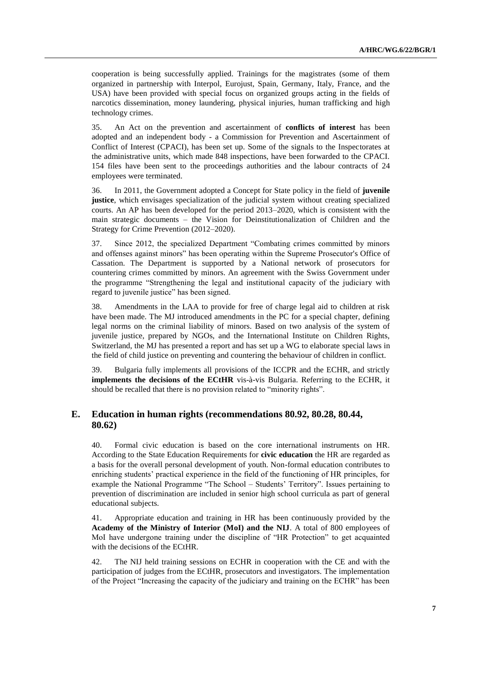cooperation is being successfully applied. Trainings for the magistrates (some of them organized in partnership with Interpol, Eurojust, Spain, Germany, Italy, France, and the USA) have been provided with special focus on organized groups acting in the fields of narcotics dissemination, money laundering, physical injuries, human trafficking and high technology crimes.

35. An Act on the prevention and ascertainment of **conflicts of interest** has been adopted and an independent body - a Commission for Prevention and Ascertainment of Conflict of Interest (CPACI), has been set up. Some of the signals to the Inspectorates at the administrative units, which made 848 inspections, have been forwarded to the CPACI. 154 files have been sent to the proceedings authorities and the labour contracts of 24 employees were terminated.

36. In 2011, the Government adopted a Concept for State policy in the field of **juvenile justice**, which envisages specialization of the judicial system without creating specialized courts. An AP has been developed for the period 2013–2020, which is consistent with the main strategic documents – the Vision for Deinstitutionalization of Children and the Strategy for Crime Prevention (2012–2020).

37. Since 2012, the specialized Department "Combating crimes committed by minors and offenses against minors" has been operating within the Supreme Prosecutor's Office of Cassation. The Department is supported by a National network of prosecutors for countering crimes committed by minors. An agreement with the Swiss Government under the programme "Strengthening the legal and institutional capacity of the judiciary with regard to juvenile justice" has been signed.

38. Amendments in the LAA to provide for free of charge legal aid to children at risk have been made. The MJ introduced amendments in the PC for a special chapter, defining legal norms on the criminal liability of minors. Based on two analysis of the system of juvenile justice, prepared by NGOs, and the International Institute on Children Rights, Switzerland, the MJ has presented a report and has set up a WG to elaborate special laws in the field of child justice on preventing and countering the behaviour of children in conflict.

39. Bulgaria fully implements all provisions of the ICCPR and the ECHR, and strictly **implements the decisions of the ECtHR** vis-à-vis Bulgaria. Referring to the ECHR, it should be recalled that there is no provision related to "minority rights".

#### **E. Education in human rights (recommendations 80.92, 80.28, 80.44, 80.62)**

40. Formal civic education is based on the core international instruments on HR*.* According to the State Education Requirements for **civic education** the HR are regarded as a basis for the overall personal development of youth. Non-formal education contributes to enriching students' practical experience in the field of the functioning of HR principles, for example the National Programme "The School – Students' Territory". Issues pertaining to prevention of discrimination are included in senior high school curricula as part of general educational subjects.

41. Appropriate education and training in HR has been continuously provided by the **Academy of the Ministry of Interior (MoI) and the NIJ**. A total of 800 employees of MoI have undergone training under the discipline of "HR Protection" to get acquainted with the decisions of the ECtHR.

42. The NIJ held training sessions on ECHR in cooperation with the CE and with the participation of judges from the ECtHR, prosecutors and investigators. The implementation of the Project "Increasing the capacity of the judiciary and training on the ECHR" has been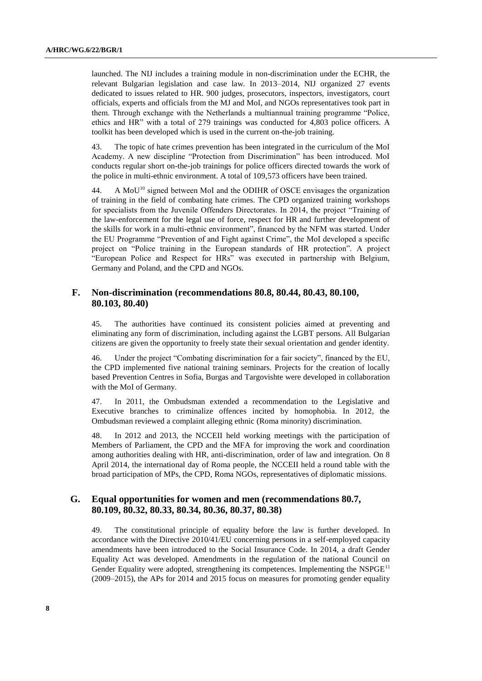launched. The NIJ includes a training module in non-discrimination under the ECHR, the relevant Bulgarian legislation and case law. In 2013–2014, NIJ organized 27 events dedicated to issues related to HR. 900 judges, prosecutors, inspectors, investigators, court officials, experts and officials from the MJ and MoI, and NGOs representatives took part in them. Through exchange with the Netherlands a multiannual training programme "Police, ethics and HR" with a total of 279 trainings was conducted for 4,803 police officers. A toolkit has been developed which is used in the current on-the-job training.

43. The topic of hate crimes prevention has been integrated in the curriculum of the MoI Academy. A new discipline "Protection from Discrimination" has been introduced. MoI conducts regular short on-the-job trainings for police officers directed towards the work of the police in multi-ethnic environment. A total of 109,573 officers have been trained.

44. A MoU<sup>10</sup> signed between MoI and the ODIHR of OSCE envisages the organization of training in the field of combating hate crimes. The CPD organized training workshops for specialists from the Juvenile Offenders Directorates. In 2014, the project "Training of the law-enforcement for the legal use of force, respect for HR and further development of the skills for work in a multi-ethnic environment", financed by the NFM was started. Under the EU Programme "Prevention of and Fight against Crime", the MoI developed a specific project on "Police training in the European standards of HR protection". A project "European Police and Respect for HRs" was executed in partnership with Belgium, Germany and Poland, and the CPD and NGOs.

#### **F. Non-discrimination (recommendations 80.8, 80.44, 80.43, 80.100, 80.103, 80.40)**

45. The authorities have continued its consistent policies aimed at preventing and eliminating any form of discrimination, including against the LGBT persons. All Bulgarian citizens are given the opportunity to freely state their sexual orientation and gender identity.

46. Under the project "Combating discrimination for a fair society", financed by the EU, the CPD implemented five national training seminars. Projects for the creation of locally based Prevention Centres in Sofia, Burgas and Targovishte were developed in collaboration with the MoI of Germany.

47. In 2011, the Ombudsman extended a recommendation to the Legislative and Executive branches to criminalize offences incited by homophobia. In 2012, the Ombudsman reviewed a complaint alleging ethnic (Roma minority) discrimination.

48. In 2012 and 2013, the NCCEII held working meetings with the participation of Members of Parliament, the CPD and the MFA for improving the work and coordination among authorities dealing with HR, anti-discrimination, order of law and integration. On 8 April 2014, the international day of Roma people, the NCCEII held a round table with the broad participation of MPs, the CPD, Roma NGOs, representatives of diplomatic missions.

#### **G. Equal opportunities for women and men (recommendations 80.7, 80.109, 80.32, 80.33, 80.34, 80.36, 80.37, 80.38)**

49. The constitutional principle of equality before the law is further developed*.* In accordance with the Directive 2010/41/EU concerning persons in a self-employed capacity amendments have been introduced to the Social Insurance Code. In 2014, a draft Gender Equality Act was developed. Amendments in the regulation of the national Council on Gender Equality were adopted, strengthening its competences. Implementing the NSPGE<sup>11</sup> (2009–2015), the APs for 2014 and 2015 focus on measures for promoting gender equality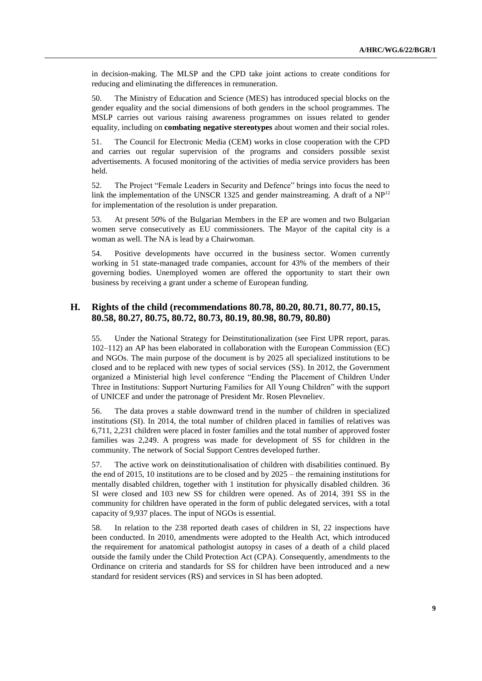in decision-making. The MLSP and the CPD take joint actions to create conditions for reducing and eliminating the differences in remuneration.

50. The Ministry of Education and Science (MES) has introduced special blocks on the gender equality and the social dimensions of both genders in the school programmes. The MSLP carries out various raising awareness programmes on issues related to gender equality, including on **combating negative stereotypes** about women and their social roles.

51. The Council for Electronic Media (CEM) works in close cooperation with the CPD and carries out regular supervision of the programs and considers possible sexist advertisements. A focused monitoring of the activities of media service providers has been held.

52. The Project "Female Leaders in Security and Defence" brings into focus the need to link the implementation of the UNSCR 1325 and gender mainstreaming. A draft of a  $NP<sup>12</sup>$ for implementation of the resolution is under preparation.

53. At present 50% of the Bulgarian Members in the EP are women and two Bulgarian women serve consecutively as EU commissioners. The Mayor of the capital city is a woman as well. The NA is lead by a Chairwoman.

54. Positive developments have occurred in the business sector. Women currently working in 51 state-managed trade companies, account for 43% of the members of their governing bodies. Unemployed women are offered the opportunity to start their own business by receiving a grant under a scheme of European funding.

#### **H. Rights of the child (recommendations 80.78, 80.20, 80.71, 80.77, 80.15, 80.58, 80.27, 80.75, 80.72, 80.73, 80.19, 80.98, 80.79, 80.80)**

55. Under the National Strategy for Deinstitutionalization (see First UPR report, paras. 102–112) an AP has been elaborated in collaboration with the European Commission (EC) and NGOs. The main purpose of the document is by 2025 all specialized institutions to be closed and to be replaced with new types of social services (SS). In 2012, the Government organized a Ministerial high level conference "Ending the Placement of Children Under Three in Institutions: Support Nurturing Families for All Young Children" with the support of UNICEF and under the patronage of President Mr. Rosen Plevneliev.

56. The data proves a stable downward trend in the number of children in specialized institutions (SI). In 2014, the total number of children placed in families of relatives was 6,711, 2,231 children were placed in foster families and the total number of approved foster families was 2,249. A progress was made for development of SS for children in the community. The network of Social Support Centres developed further.

57. The active work on deinstitutionalisation of children with disabilities continued. By the end of 2015, 10 institutions are to be closed and by 2025 – the remaining institutions for mentally disabled children, together with 1 institution for physically disabled children. 36 SI were closed and 103 new SS for children were opened. As of 2014, 391 SS in the community for children have operated in the form of public delegated services, with a total capacity of 9,937 places. The input of NGOs is essential.

58. In relation to the 238 reported death cases of children in SI, 22 inspections have been conducted. In 2010, amendments were adopted to the Health Act, which introduced the requirement for anatomical pathologist autopsy in cases of a death of a child placed outside the family under the Child Protection Act (CPA). Consequently, amendments to the Ordinance on criteria and standards for SS for children have been introduced and a new standard for resident services (RS) and services in SI has been adopted.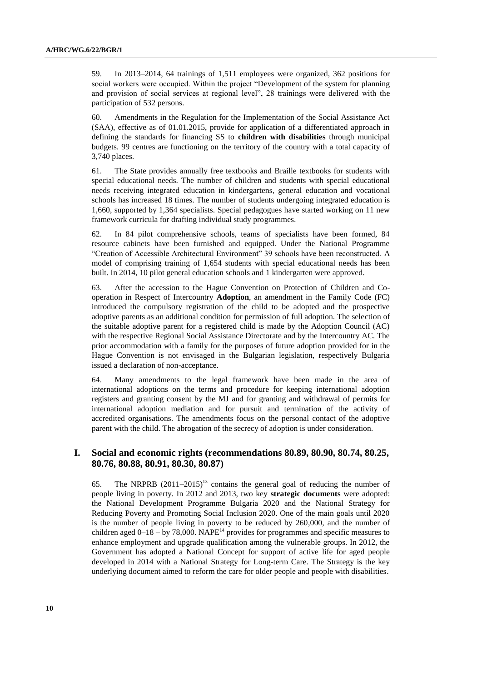59. In 2013–2014, 64 trainings of 1,511 employees were organized, 362 positions for social workers were occupied. Within the project "Development of the system for planning and provision of social services at regional level", 28 trainings were delivered with the participation of 532 persons.

60. Amendments in the Regulation for the Implementation of the Social Assistance Act (SAA), effective as of 01.01.2015, provide for application of a differentiated approach in defining the standards for financing SS to **children with disabilities** through municipal budgets. 99 centres are functioning on the territory of the country with a total capacity of 3,740 places.

61. The State provides annually free textbooks and Braille textbooks for students with special educational needs. The number of children and students with special educational needs receiving integrated education in kindergartens, general education and vocational schools has increased 18 times. The number of students undergoing integrated education is 1,660, supported by 1,364 specialists. Special pedagogues have started working on 11 new framework curricula for drafting individual study programmes.

62. In 84 pilot comprehensive schools, teams of specialists have been formed, 84 resource cabinets have been furnished and equipped. Under the National Programme "Creation of Accessible Architectural Environment" 39 schools have been reconstructed. A model of comprising training of 1,654 students with special educational needs has been built. In 2014, 10 pilot general education schools and 1 kindergarten were approved.

63. After the accession to the Hague Convention on Protection of Children and Cooperation in Respect of Intercountry **Adoption**, an amendment in the Family Code (FC) introduced the compulsory registration of the child to be adopted and the prospective adoptive parents as an additional condition for permission of full adoption. The selection of the suitable adoptive parent for a registered child is made by the Adoption Council (AC) with the respective Regional Social Assistance Directorate and by the Intercountry AC. The prior accommodation with a family for the purposes of future adoption provided for in the Hague Convention is not envisaged in the Bulgarian legislation, respectively Bulgaria issued a declaration of non-acceptance.

64. Many amendments to the legal framework have been made in the area of international adoptions on the terms and procedure for keeping international adoption registers and granting consent by the MJ and for granting and withdrawal of permits for international adoption mediation and for pursuit and termination of the activity of accredited organisations. The amendments focus on the personal contact of the adoptive parent with the child. The abrogation of the secrecy of adoption is under consideration.

#### **I. Social and economic rights (recommendations 80.89, 80.90, 80.74, 80.25, 80.76, 80.88, 80.91, 80.30, 80.87)**

65. The NRPRB  $(2011-2015)^{13}$  contains the general goal of reducing the number of people living in poverty. In 2012 and 2013, two key **strategic documents** were adopted: the National Development Programme Bulgaria 2020 and the National Strategy for Reducing Poverty and Promoting Social Inclusion 2020. One of the main goals until 2020 is the number of people living in poverty to be reduced by 260,000, and the number of children aged  $0-18 - by 78,000$ . NAPE<sup>14</sup> provides for programmes and specific measures to enhance employment and upgrade qualification among the vulnerable groups. In 2012, the Government has adopted a National Concept for support of active life for aged people developed in 2014 with a National Strategy for Long-term Care. The Strategy is the key underlying document aimed to reform the care for older people and people with disabilities.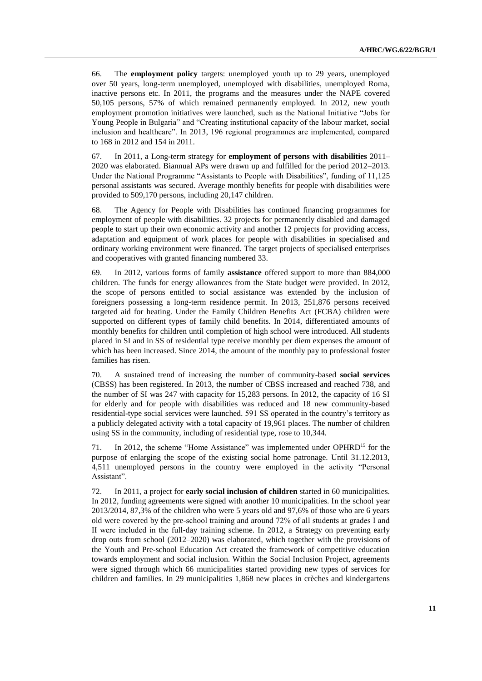66. The **employment policy** targets: unemployed youth up to 29 years, unemployed over 50 years, long-term unemployed, unemployed with disabilities, unemployed Roma, inactive persons etc. In 2011, the programs and the measures under the NAPE covered 50,105 persons, 57% of which remained permanently employed. In 2012, new youth employment promotion initiatives were launched, such as the National Initiative "Jobs for Young People in Bulgaria" and "Creating institutional capacity of the labour market, social inclusion and healthcare". In 2013, 196 regional programmes are implemented, compared to 168 in 2012 and 154 in 2011.

67. In 2011, a Long-term strategy for **employment of persons with disabilities** 2011– 2020 was elaborated. Biannual APs were drawn up and fulfilled for the period 2012–2013. Under the National Programme "Assistants to People with Disabilities", funding of 11,125 personal assistants was secured. Average monthly benefits for people with disabilities were provided to 509,170 persons, including 20,147 children.

68. The Agency for People with Disabilities has continued financing programmes for employment of people with disabilities. 32 projects for permanently disabled and damaged people to start up their own economic activity and another 12 projects for providing access, adaptation and equipment of work places for people with disabilities in specialised and ordinary working environment were financed. The target projects of specialised enterprises and cooperatives with granted financing numbered 33.

69. In 2012, various forms of family **assistance** offered support to more than 884,000 children. The funds for energy allowances from the State budget were provided. In 2012, the scope of persons entitled to social assistance was extended by the inclusion of foreigners possessing a long-term residence permit. In 2013, 251,876 persons received targeted aid for heating. Under the Family Children Benefits Act (FCBA) children were supported on different types of family child benefits. In 2014, differentiated amounts of monthly benefits for children until completion of high school were introduced. All students placed in SI and in SS of residential type receive monthly per diem expenses the amount of which has been increased. Since 2014, the amount of the monthly pay to professional foster families has risen.

70. A sustained trend of increasing the number of community-based **social services** (CBSS) has been registered. In 2013, the number of CBSS increased and reached 738, and the number of SI was 247 with capacity for 15,283 persons. In 2012, the capacity of 16 SI for elderly and for people with disabilities was reduced and 18 new community-based residential-type social services were launched. 591 SS operated in the country's territory as a publicly delegated activity with a total capacity of 19,961 places. The number of children using SS in the community, including of residential type, rose to 10,344.

71. In 2012, the scheme "Home Assistance" was implemented under OPHRD<sup>15</sup> for the purpose of enlarging the scope of the existing social home patronage. Until 31.12.2013, 4,511 unemployed persons in the country were employed in the activity "Personal Assistant".

72. In 2011, a project for **early social inclusion of children** started in 60 municipalities. In 2012, funding agreements were signed with another 10 municipalities. In the school year 2013/2014, 87,3% of the children who were 5 years old and 97,6% of those who are 6 years old were covered by the pre-school training and around 72% of all students at grades І and ІІ were included in the full-day training scheme. In 2012, a Strategy on preventing early drop outs from school (2012–2020) was elaborated, which together with the provisions of the Youth and Pre-school Education Act created the framework of competitive education towards employment and social inclusion. Within the Social Inclusion Project, agreements were signed through which 66 municipalities started providing new types of services for children and families. In 29 municipalities 1,868 new places in crèches and kindergartens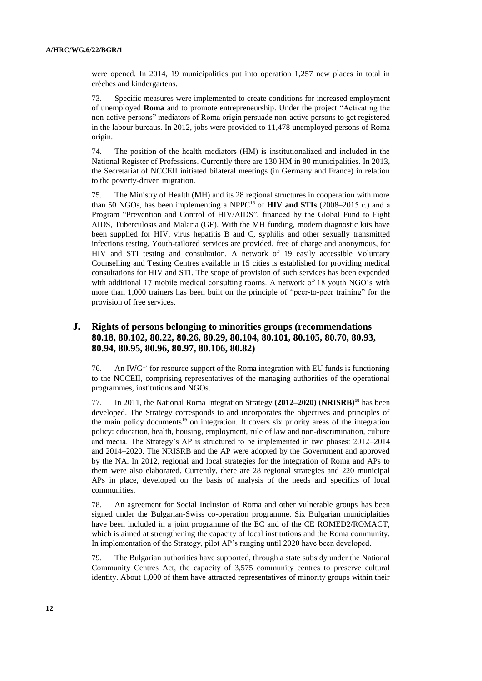were opened. In 2014, 19 municipalities put into operation 1,257 new places in total in crèches and kindergartens.

73. Specific measures were implemented to create conditions for increased employment of unemployed **Roma** and to promote entrepreneurship. Under the project "Activating the non-active persons" mediators of Roma origin persuade non-active persons to get registered in the labour bureaus. In 2012, jobs were provided to 11,478 unemployed persons of Roma origin.

74. The position of the health mediators (HM) is institutionalized and included in the National Register of Professions. Currently there are 130 HM in 80 municipalities. In 2013, the Secretariat of NCCEII initiated bilateral meetings (in Germany and France) in relation to the poverty-driven migration.

75. The Ministry of Health (MH) and its 28 regional structures in cooperation with more than 50 NGOs, has been implementing a NPPC<sup>16</sup> of **HIV and STIs** (2008–2015 г.) and a Program "Prevention and Control of HIV/AIDS", financed by the Global Fund to Fight AIDS, Tuberculosis and Malaria (GF). With the MH funding, modern diagnostic kits have been supplied for HIV, virus hepatitis B and C, syphilis and other sexually transmitted infections testing. Youth-tailored services are provided, free of charge and anonymous, for HIV and STI testing and consultation. A network of 19 easily accessible Voluntary Counselling and Testing Centres available in 15 cities is established for providing medical consultations for HIV and STI. The scope of provision of such services has been expended with additional 17 mobile medical consulting rooms. A network of 18 youth NGO's with more than 1,000 trainers has been built on the principle of "peer-to-peer training" for the provision of free services.

#### **J. Rights of persons belonging to minorities groups (recommendations 80.18, 80.102, 80.22, 80.26, 80.29, 80.104, 80.101, 80.105, 80.70, 80.93, 80.94, 80.95, 80.96, 80.97, 80.106, 80.82)**

76. An IWG<sup>17</sup> for resource support of the Roma integration with EU funds is functioning to the NCCEII, comprising representatives of the managing authorities of the operational programmes, institutions and NGOs.

77. In 2011, the National Roma Integration Strategy **(2012–2020)** (**NRISRB)<sup>18</sup>** has been developed. The Strategy corresponds to and incorporates the objectives and principles of the main policy documents<sup>19</sup> on integration. It covers six priority areas of the integration policy: education, health, housing, employment, rule of law and non-discrimination, culture and media. The Strategy's AP is structured to be implemented in two phases: 2012–2014 and 2014–2020. The NRISRB and the AP were adopted by the Government and approved by the NA. In 2012, regional and local strategies for the integration of Roma and APs to them were also elaborated. Currently, there are 28 regional strategies and 220 municipal APs in place, developed on the basis of analysis of the needs and specifics of local communities.

78. An agreement for Social Inclusion of Roma and other vulnerable groups has been signed under the Bulgarian-Swiss co-operation programme. Six Bulgarian municiplaities have been included in a joint programme of the EC and of the CE ROMED2/ROMACT, which is aimed at strengthening the capacity of local institutions and the Roma community. In implementation of the Strategy, pilot AP's ranging until 2020 have been developed.

79. The Bulgarian authorities have supported, through a state subsidy under the National Community Centres Act, the capacity of 3,575 community centres to preserve cultural identity. About 1,000 of them have attracted representatives of minority groups within their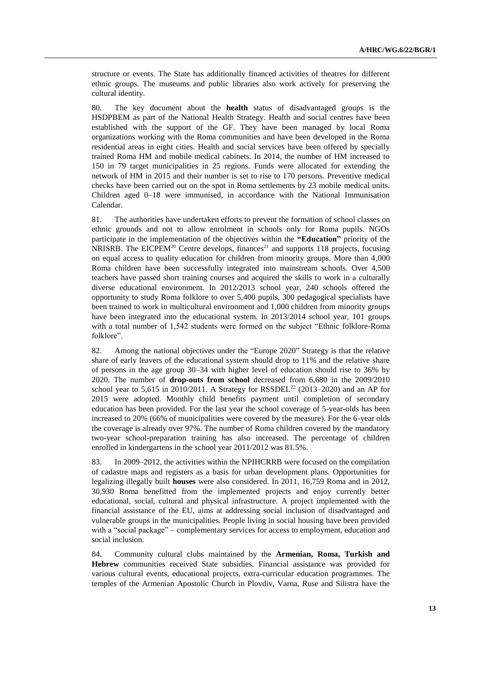structure or events. The State has additionally financed activities of theatres for different ethnic groups. The museums and public libraries also work actively for preserving the cultural identity.

80. The key document about the **health** status of disadvantaged groups is the HSDPBEM as part of the National Health Strategy. Health and social centres have been established with the support of the GF. They have been managed by local Roma organizations working with the Roma communities and have been developed in the Roma residential areas in eight cities. Health and social services have been offered by specially trained Roma HM and mobile medical cabinets. In 2014, the number of HM increased to 150 in 79 target municipalities in 25 regions. Funds were allocated for extending the network of HM in 2015 and their number is set to rise to 170 persons. Preventive medical checks have been carried out on the spot in Roma settlements by 23 mobile medical units. Children aged 0–18 were immunised, in accordance with the National Immunisation Calendar.

81. The authorities have undertaken efforts to prevent the formation of school classes on ethnic grounds and not to allow enrolment in schools only for Roma pupils. NGOs participate in the implementation of the objectives within the **"Education"** priority of the NRISRB. The EICPEM<sup>20</sup> Centre develops, finances<sup>21</sup> and supports 118 projects, focusing on equal access to quality education for children from minority groups. More than 4,000 Roma children have been successfully integrated into mainstream schools. Over 4,500 teachers have passed short training courses and acquired the skills to work in a culturally diverse educational environment. In 2012/2013 school year, 240 schools offered the opportunity to study Roma folklore to over 5,400 pupils, 300 pedagogical specialists have been trained to work in multicultural environment and 1,000 children from minority groups have been integrated into the educational system. In 2013/2014 school year, 101 groups with a total number of 1,542 students were formed on the subject "Ethnic folklore-Roma folklore".

82. Among the national objectives under the "Europe 2020" Strategy is that the relative share of early leavers of the educational system should drop to 11% and the relative share of persons in the age group 30–34 with higher level of education should rise to 36% by 2020. The number of **drop-outs from school** decreased from 6,680 in the 2009/2010 school year to 5,615 in 2010/2011. A Strategy for RSSDEL<sup>22</sup> (2013–2020) and an AP for 2015 were adopted. Monthly child benefits payment until completion of secondary education has been provided. For the last year the school coverage of 5-year-olds has been increased to 20% (66% of municipalities were covered by the measure). For the 6-year olds the coverage is already over 97%. The number of Roma children covered by the mandatory two-year school-preparation training has also increased. The percentage of children enrolled in kindergartens in the school year 2011/2012 was 81.5%.

83. In 2009–2012, the activities within the NPIHCRRB were focused on the compilation of cadastre maps and registers as a basis for urban development plans. Opportunities for legalizing illegally built **houses** were also considered. In 2011, 16,759 Roma and in 2012, 30,930 Roma benefitted from the implemented projects and enjoy currently better educational, social, cultural and physical infrastructure. A project implemented with the financial assistance of the EU, aims at addressing social inclusion of disadvantaged and vulnerable groups in the municipalities. People living in social housing have been provided with a "social package" – complementary services for access to employment, education and social inclusion.

84. Community cultural clubs maintained by the **Armenian, Roma, Turkish and Hebrew** communities received State subsidies. Financial assistance was provided for various cultural events, educational projects, extra-curricular education programmes. The temples of the Armenian Apostolic Church in Plovdiv, Varna, Ruse and Silistra have the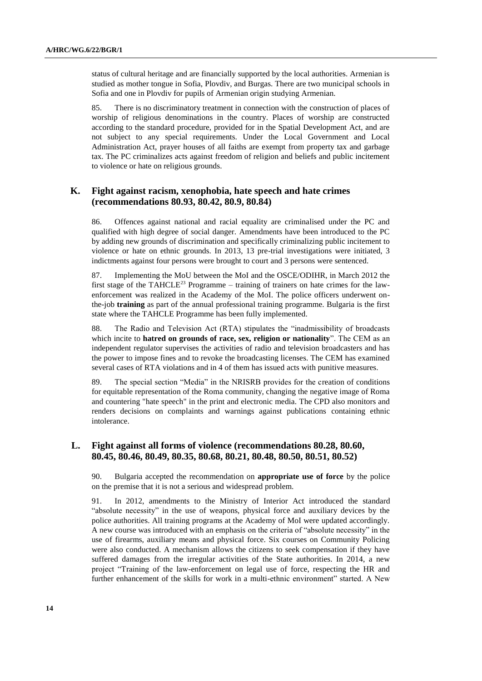status of cultural heritage and are financially supported by the local authorities. Armenian is studied as mother tongue in Sofia, Plovdiv, and Burgas. There are two municipal schools in Sofia and one in Plovdiv for pupils of Armenian origin studying Armenian.

85. There is no discriminatory treatment in connection with the construction of places of worship of religious denominations in the country. Places of worship are constructed according to the standard procedure, provided for in the Spatial Development Act, and are not subject to any special requirements. Under the Local Government and Local Administration Act, prayer houses of all faiths are exempt from property tax and garbage tax. The PC criminalizes acts against freedom of religion and beliefs and public incitement to violence or hate on religious grounds.

#### **K. Fight against racism, xenophobia, hate speech and hate crimes (recommendations 80.93, 80.42, 80.9, 80.84)**

86. Offences against national and racial equality are criminalised under the PC and qualified with high degree of social danger. Amendments have been introduced to the PC by adding new grounds of discrimination and specifically criminalizing public incitement to violence or hate on ethnic grounds. In 2013, 13 pre-trial investigations were initiated, 3 indictments against four persons were brought to court and 3 persons were sentenced.

87. Implementing the MoU between the MoI and the OSCE/ODIHR, in March 2012 the first stage of the TAHCLE<sup>23</sup> Programme – training of trainers on hate crimes for the lawenforcement was realized in the Academy of the MoI. The police officers underwent onthe-job **training** as part of the annual professional training programme. Bulgaria is the first state where the TAHCLE Programme has been fully implemented.

88. The Radio and Television Act (RTA) stipulates the "inadmissibility of broadcasts which incite to **hatred on grounds of race, sex, religion or nationality**". The CEM as an independent regulator supervises the activities of radio and television broadcasters and has the power to impose fines and to revoke the broadcasting licenses. The CEM has examined several cases of RTA violations and in 4 of them has issued acts with punitive measures.

89. The special section "Media" in the NRISRB provides for the creation of conditions for equitable representation of the Roma community, changing the negative image of Roma and countering "hate speech" in the print and electronic media. The CPD also monitors and renders decisions on complaints and warnings against publications containing ethnic intolerance.

### **L. Fight against all forms of violence (recommendations 80.28, 80.60, 80.45, 80.46, 80.49, 80.35, 80.68, 80.21, 80.48, 80.50, 80.51, 80.52)**

90. Bulgaria accepted the recommendation on **appropriate use of force** by the police on the premise that it is not a serious and widespread problem.

91. In 2012, amendments to the Ministry of Interior Act introduced the standard "absolute necessity" in the use of weapons, physical force and auxiliary devices by the police authorities. All training programs at the Academy of MoI were updated accordingly. A new course was introduced with an emphasis on the criteria of "absolute necessity" in the use of firearms, auxiliary means and physical force. Six courses on Community Policing were also conducted. A mechanism allows the citizens to seek compensation if they have suffered damages from the irregular activities of the State authorities. In 2014, a new project "Training of the law-enforcement on legal use of force, respecting the HR and further enhancement of the skills for work in a multi-ethnic environment" started. A New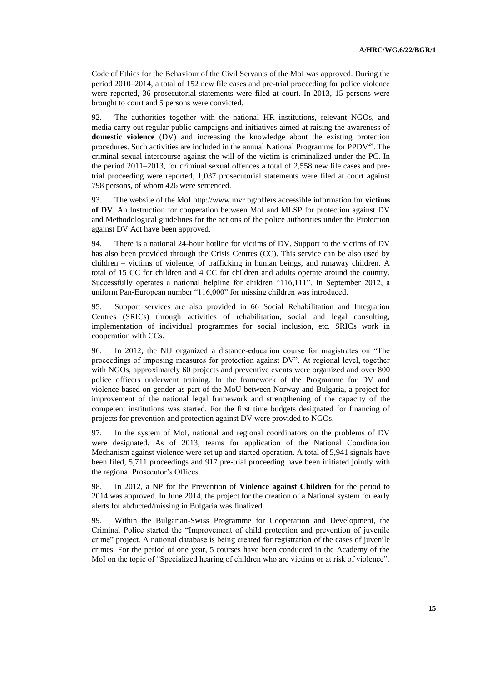Code of Ethics for the Behaviour of the Civil Servants of the MoI was approved. During the period 2010–2014, a total of 152 new file cases and pre-trial proceeding for police violence were reported, 36 prosecutorial statements were filed at court. In 2013, 15 persons were brought to court and 5 persons were convicted.

92. The authorities together with the national HR institutions, relevant NGOs, and media carry out regular public campaigns and initiatives aimed at raising the awareness of **domestic violence** (DV) and increasing the knowledge about the existing protection procedures. Such activities are included in the annual National Programme for PPDV $^{24}$ . The criminal sexual intercourse against the will of the victim is criminalized under the PC. In the period 2011–2013, for criminal sexual offences a total of 2,558 new file cases and pretrial proceeding were reported, 1,037 prosecutorial statements were filed at court against 798 persons, of whom 426 were sentenced.

93. The website of the MoI [http://www.mvr.bg/o](http://www.mvr.bg/)ffers accessible information for **victims of DV**. An Instruction for cooperation between MoI and MLSP for protection against DV and Methodological guidelines for the actions of the police authorities under the Protection against DV Act have been approved.

94. There is a national 24-hour hotline for victims of DV. Support to the victims of DV has also been provided through the Crisis Centres (CC). This service can be also used by children – victims of violence, of trafficking in human beings, and runaway children. A total of 15 CC for children and 4 CC for children and adults operate around the country. Successfully operates a national helpline for children "116,111". In September 2012, a uniform Pan-European number "116,000" for missing children was introduced.

95. Support services are also provided in 66 Social Rehabilitation and Integration Centres (SRICs) through activities of rehabilitation, social and legal consulting, implementation of individual programmes for social inclusion, etc. SRICs work in cooperation with CCs.

96. In 2012, the NIJ organized a distance-education course for magistrates on "The proceedings of imposing measures for protection against DV". At regional level, together with NGOs, approximately 60 projects and preventive events were organized and over 800 police officers underwent training. In the framework of the Programme for DV and violence based on gender as part of the MoU between Norway and Bulgaria, a project for improvement of the national legal framework and strengthening of the capacity of the competent institutions was started. For the first time budgets designated for financing of projects for prevention and protection against DV were provided to NGOs.

97. In the system of MoI, national and regional coordinators on the problems of DV were designated. As of 2013, teams for application of the National Coordination Mechanism against violence were set up and started operation. A total of 5,941 signals have been filed, 5,711 proceedings and 917 pre-trial proceeding have been initiated jointly with the regional Prosecutor's Offices.

98. In 2012, a NP for the Prevention of **Violence against Children** for the period to 2014 was approved. In June 2014, the project for the creation of a National system for early alerts for abducted/missing in Bulgaria was finalized.

99. Within the Bulgarian-Swiss Programme for Cooperation and Development, the Criminal Police started the "Improvement of child protection and prevention of juvenile crime" project. A national database is being created for registration of the cases of juvenile crimes. For the period of one year, 5 courses have been conducted in the Academy of the MoI on the topic of "Specialized hearing of children who are victims or at risk of violence".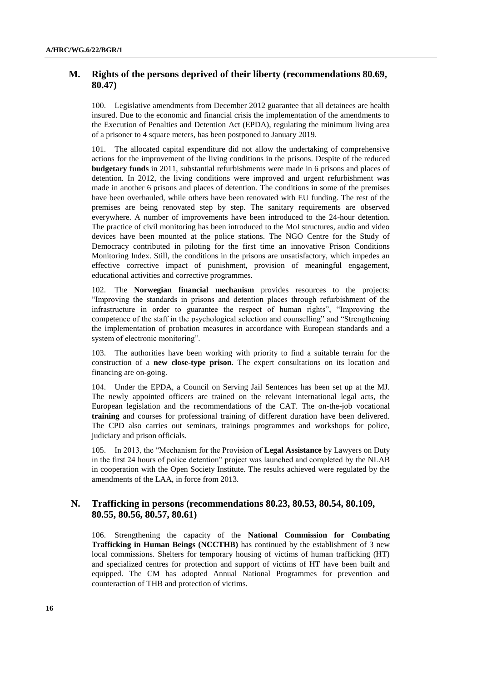#### **M. Rights of the persons deprived of their liberty (recommendations 80.69, 80.47)**

100. Legislative amendments from December 2012 guarantee that all detainees are health insured. Due to the economic and financial crisis the implementation of the amendments to the Execution of Penalties and Detention Act (EPDA), regulating the minimum living area of a prisoner to 4 square meters, has been postponed to January 2019.

101. The allocated capital expenditure did not allow the undertaking of comprehensive actions for the improvement of the living conditions in the prisons. Despite of the reduced **budgetary funds** in 2011, substantial refurbishments were made in 6 prisons and places of detention. In 2012, the living conditions were improved and urgent refurbishment was made in another 6 prisons and places of detention. The conditions in some of the premises have been overhauled, while others have been renovated with EU funding. The rest of the premises are being renovated step by step. The sanitary requirements are observed everywhere. A number of improvements have been introduced to the 24-hour detention. The practice of civil monitoring has been introduced to the MoI structures, audio and video devices have been mounted at the police stations. The NGO Centre for the Study of Democracy contributed in piloting for the first time an innovative Prison Conditions Monitoring Index. Still, the conditions in the prisons are unsatisfactory, which impedes an effective corrective impact of punishment, provision of meaningful engagement, educational activities and corrective programmes.

102. The **Norwegian financial mechanism** provides resources to the projects: "Improving the standards in prisons and detention places through refurbishment of the infrastructure in order to guarantee the respect of human rights", "Improving the competence of the staff in the psychological selection and counselling" and "Strengthening the implementation of probation measures in accordance with European standards and a system of electronic monitoring".

103. The authorities have been working with priority to find a suitable terrain for the construction of a **new close-type prison**. The expert consultations on its location and financing are on-going.

104. Under the EPDA, a Council on Serving Jail Sentences has been set up at the MJ. The newly appointed officers are trained on the relevant international legal acts, the European legislation and the recommendations of the CAT. The on-the-job vocational **training** and courses for professional training of different duration have been delivered. The CPD also carries out seminars, trainings programmes and workshops for police, judiciary and prison officials.

105. In 2013, the "Mechanism for the Provision of **Legal Assistance** by Lawyers on Duty in the first 24 hours of police detention" project was launched and completed by the NLAB in cooperation with the Open Society Institute. The results achieved were regulated by the amendments of the LAA, in force from 2013.

#### **N. Trafficking in persons (recommendations 80.23, 80.53, 80.54, 80.109, 80.55, 80.56, 80.57, 80.61)**

106. Strengthening the capacity of the **National Commission for Combating Trafficking in Human Beings (NCCTHB)** has continued by the establishment of 3 new local commissions. Shelters for temporary housing of victims of human trafficking (HT) and specialized centres for protection and support of victims of HT have been built and equipped. The CM has adopted Annual National Programmes for prevention and counteraction of THB and protection of victims.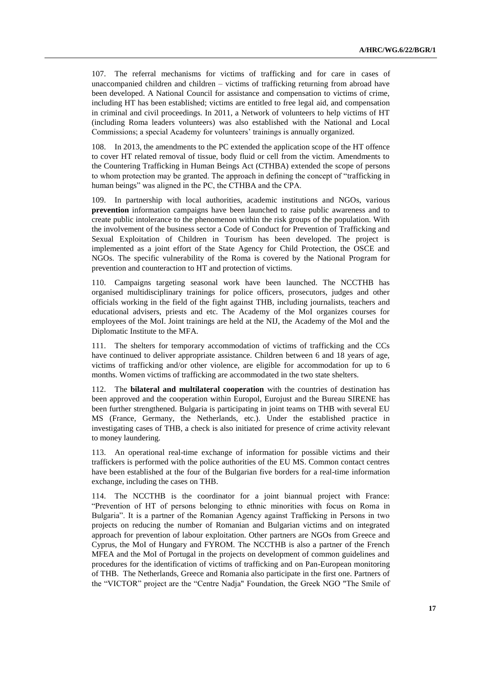107. The referral mechanisms for victims of trafficking and for care in cases of unaccompanied children and children – victims of trafficking returning from abroad have been developed. A National Council for assistance and compensation to victims of crime, including HT has been established; victims are entitled to free legal aid, and compensation in criminal and civil proceedings. In 2011, a Network of volunteers to help victims of HT (including Roma leaders volunteers) was also established with the National and Local Commissions; a special Academy for volunteers' trainings is annually organized.

108. In 2013, the amendments to the PC extended the application scope of the HT offence to cover HT related removal of tissue, body fluid or cell from the victim. Amendments to the Countering Trafficking in Human Beings Act (CTHBA) extended the scope of persons to whom protection may be granted. The approach in defining the concept of "trafficking in human beings" was aligned in the PC, the CTHBA and the CPA.

109. In partnership with local authorities, academic institutions and NGOs, various **prevention** information campaigns have been launched to raise public awareness and to create public intolerance to the phenomenon within the risk groups of the population. With the involvement of the business sector a Code of Conduct for Prevention of Trafficking and Sexual Exploitation of Children in Tourism has been developed. The project is implemented as a joint effort of the State Agency for Child Protection, the OSCE and NGOs. The specific vulnerability of the Roma is covered by the National Program for prevention and counteraction to HT and protection of victims.

110. Campaigns targeting seasonal work have been launched. The NCCTHB has organised multidisciplinary trainings for police officers, prosecutors, judges and other officials working in the field of the fight against THB, including journalists, teachers and educational advisers, priests and etc. The Academy of the MoI organizes courses for employees of the MoI. Joint trainings are held at the NIJ, the Academy of the MoI and the Diplomatic Institute to the MFA.

111. The shelters for temporary accommodation of victims of trafficking and the CCs have continued to deliver appropriate assistance. Children between 6 and 18 years of age, victims of trafficking and/or other violence, are eligible for accommodation for up to 6 months. Women victims of trafficking are accommodated in the two state shelters.

112. The **bilateral and multilateral cooperation** with the countries of destination has been approved and the cooperation within Europol, Eurojust and the Bureau SIRENE has been further strengthened. Bulgaria is participating in joint teams on THB with several EU MS (France, Germany, the Netherlands, etc.). Under the established practice in investigating cases of THB, a check is also initiated for presence of crime activity relevant to money laundering.

113. An operational real-time exchange of information for possible victims and their traffickers is performed with the police authorities of the EU MS. Common contact centres have been established at the four of the Bulgarian five borders for a real-time information exchange, including the cases on THB.

114. The NCCTHB is the coordinator for a joint biannual project with France: "Prevention of HT of persons belonging to ethnic minorities with focus on Roma in Bulgaria". It is a partner of the Romanian Agency against Trafficking in Persons in two projects on reducing the number of Romanian and Bulgarian victims and on integrated approach for prevention of labour exploitation. Other partners are NGOs from Greece and Cyprus, the MoI of Hungary and FYROM. The NCCTHB is also a partner of the French MFEA and the MoI of Portugal in the projects on development of common guidelines and procedures for the identification of victims of trafficking and on Pan-European monitoring of THB. The Netherlands, Greece and Romania also participate in the first one. Partners of the "VICTOR" project are the "Centre Nadja" Foundation, the Greek NGO "The Smile of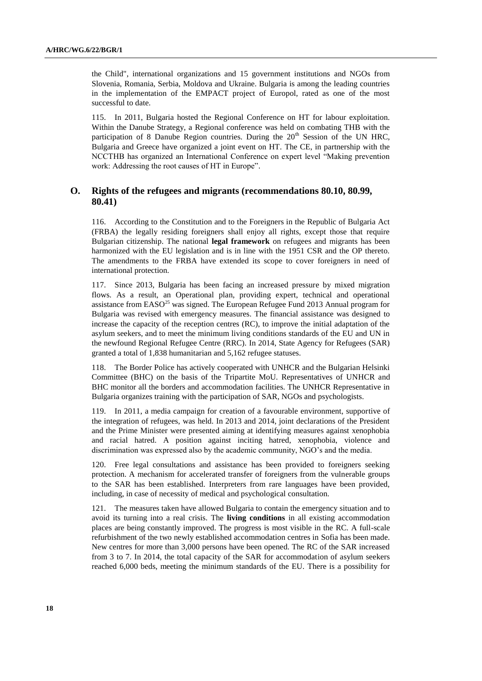the Child", international organizations and 15 government institutions and NGOs from Slovenia, Romania, Serbia, Moldova and Ukraine. Bulgaria is among the leading countries in the implementation of the EMPACT project of Europol, rated as one of the most successful to date.

115. In 2011, Bulgaria hosted the Regional Conference on HT for labour exploitation. Within the Danube Strategy, a Regional conference was held on combating THB with the participation of 8 Danube Region countries. During the 20<sup>th</sup> Session of the UN HRC, Bulgaria and Greece have organized a joint event on HT. The CE, in partnership with the NCCTHB has organized an International Conference on expert level "Making prevention work: Addressing the root causes of HT in Europe".

### **O. Rights of the refugees and migrants (recommendations 80.10, 80.99, 80.41)**

116. According to the Constitution and to the Foreigners in the Republic of Bulgaria Act (FRBA) the legally residing foreigners shall enjoy all rights, except those that require Bulgarian citizenship. The national **legal framework** on refugees and migrants has been harmonized with the EU legislation and is in line with the 1951 CSR and the OP thereto. The amendments to the FRBA have extended its scope to cover foreigners in need of international protection.

117. Since 2013, Bulgaria has been facing an increased pressure by mixed migration flows. As a result, an Operational plan, providing expert, technical and operational assistance from EASO<sup>25</sup> was signed. The European Refugee Fund 2013 Annual program for Bulgaria was revised with emergency measures. The financial assistance was designed to increase the capacity of the reception centres (RC), to improve the initial adaptation of the asylum seekers, and to meet the minimum living conditions standards of the EU and UN in the newfound Regional Refugee Centre (RRC). In 2014, State Agency for Refugees (SAR) granted a total of 1,838 humanitarian and 5,162 refugee statuses.

118. The Border Police has actively cooperated with UNHCR and the Bulgarian Helsinki Committee (BHC) on the basis of the Tripartite MoU. Representatives of UNHCR and BHC monitor all the borders and accommodation facilities. The UNHCR Representative in Bulgaria organizes training with the participation of SAR, NGOs and psychologists.

119. In 2011, a media campaign for creation of a favourable environment, supportive of the integration of refugees, was held. In 2013 and 2014, joint declarations of the President and the Prime Minister were presented aiming at identifying measures against xenophobia and racial hatred. A position against inciting hatred, xenophobia, violence and discrimination was expressed also by the academic community, NGO's and the media.

120. Free legal consultations and assistance has been provided to foreigners seeking protection. A mechanism for accelerated transfer of foreigners from the vulnerable groups to the SAR has been established. Interpreters from rare languages have been provided, including, in case of necessity of medical and psychological consultation.

121. The measures taken have allowed Bulgaria to contain the emergency situation and to avoid its turning into a real crisis. The **living conditions** in all existing accommodation places are being constantly improved. The progress is most visible in the RC. A full-scale refurbishment of the two newly established accommodation centres in Sofia has been made. New centres for more than 3,000 persons have been opened. The RC of the SAR increased from 3 to 7. In 2014, the total capacity of the SAR for accommodation of asylum seekers reached 6,000 beds, meeting the minimum standards of the EU. There is a possibility for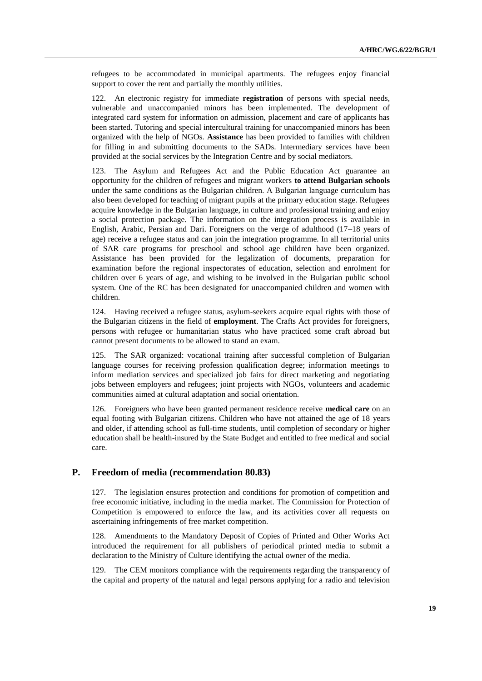refugees to be accommodated in municipal apartments. The refugees enjoy financial support to cover the rent and partially the monthly utilities.

122. An electronic registry for immediate **registration** of persons with special needs, vulnerable and unaccompanied minors has been implemented. The development of integrated card system for information on admission, placement and care of applicants has been started. Tutoring and special intercultural training for unaccompanied minors has been organized with the help of NGOs. **Assistance** has been provided to families with children for filling in and submitting documents to the SADs. Intermediary services have been provided at the social services by the Integration Centre and by social mediators.

123. The Asylum and Refugees Act and the Public Education Act guarantee an opportunity for the children of refugees and migrant workers **to attend Bulgarian schools** under the same conditions as the Bulgarian children. A Bulgarian language curriculum has also been developed for teaching of migrant pupils at the primary education stage. Refugees acquire knowledge in the Bulgarian language, in culture and professional training and enjoy a social protection package. The information on the integration process is available in English, Arabic, Persian and Dari. Foreigners on the verge of adulthood (17–18 years of age) receive a refugee status and can join the integration programme. In all territorial units of SAR care programs for preschool and school age children have been organized. Assistance has been provided for the legalization of documents, preparation for examination before the regional inspectorates of education, selection and enrolment for children over 6 years of age, and wishing to be involved in the Bulgarian public school system. One of the RC has been designated for unaccompanied children and women with children.

124. Having received a refugee status, asylum-seekers acquire equal rights with those of the Bulgarian citizens in the field of **employment**. The Crafts Act provides for foreigners, persons with refugee or humanitarian status who have practiced some craft abroad but cannot present documents to be allowed to stand an exam.

125. The SAR organized: vocational training after successful completion of Bulgarian language courses for receiving profession qualification degree; information meetings to inform mediation services and specialized job fairs for direct marketing and negotiating jobs between employers and refugees; joint projects with NGOs, volunteers and academic communities aimed at cultural adaptation and social orientation.

126. Foreigners who have been granted permanent residence receive **medical care** on an equal footing with Bulgarian citizens. Children who have not attained the age of 18 years and older, if attending school as full-time students, until completion of secondary or higher education shall be health-insured by the State Budget and entitled to free medical and social care.

#### **P. Freedom of media (recommendation 80.83)**

127. The legislation ensures protection and conditions for promotion of competition and free economic initiative, including in the media market. The Commission for Protection of Competition is empowered to enforce the law, and its activities cover all requests on ascertaining infringements of free market competition.

128. Amendments to the Mandatory Deposit of Copies of Printed and Other Works Act introduced the requirement for all publishers of periodical printed media to submit a declaration to the Ministry of Culture identifying the actual owner of the media.

129. The CEM monitors compliance with the requirements regarding the transparency of the capital and property of the natural and legal persons applying for a radio and television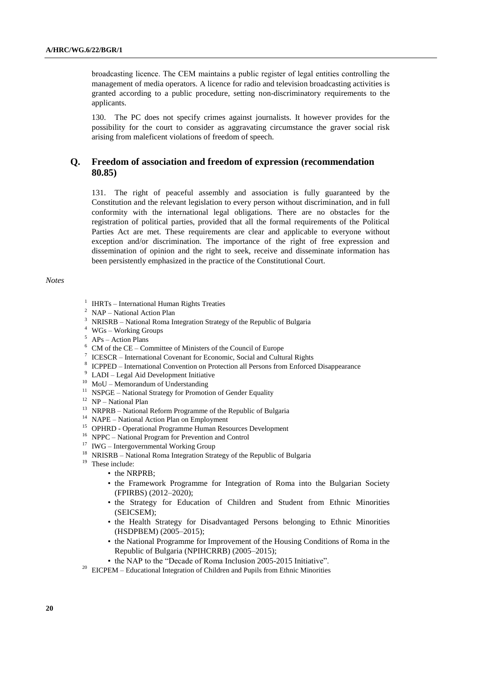broadcasting licence. The СЕМ maintains a public register of legal entities controlling the management of media operators*.* A licence for radio and television broadcasting activities is granted according to a public procedure, setting non-discriminatory requirements to the applicants.

130. The PC does not specify crimes against journalists. It however provides for the possibility for the court to consider as aggravating circumstance the graver social risk arising from maleficent violations of freedom of speech.

#### **Q. Freedom of association and freedom of expression (recommendation 80.85)**

131. The right of peaceful assembly and association is fully guaranteed by the Constitution and the relevant legislation to every person without discrimination, and in full conformity with the international legal obligations. There are no obstacles for the registration of political parties, provided that all the formal requirements of the Political Parties Act are met. These requirements are clear and applicable to everyone without exception and/or discrimination. The importance of the right of free expression and dissemination of opinion and the right to seek, receive and disseminate information has been persistently emphasized in the practice of the Constitutional Court.

#### *Notes*

- <sup>1</sup> IHRTs International Human Rights Treaties
- <sup>2</sup> NAP National Action Plan
- <sup>3</sup> NRISRB National Roma Integration Strategy of the Republic of Bulgaria
- <sup>4</sup> WGs Working Groups
- $5$  APs Action Plans
- $6$  CM of the CE Committee of Ministers of the Council of Europe
- <sup>7</sup> ICESCR International Covenant for Economic, Social and Cultural Rights
- <sup>8</sup> ICPPED International Convention on Protection all Persons from Enforced Disappearance
- <sup>9</sup> LADI Legal Aid Development Initiative
- $10$  MoU Memorandum of Understanding
- <sup>11</sup> NSPGE National Strategy for Promotion of Gender Equality
- <sup>12</sup> NP National Plan
- <sup>13</sup> NRPRB National Reform Programme of the Republic of Bulgaria
- <sup>14</sup> NAPE National Action Plan on Employment
- <sup>15</sup> OPHRD Operational Programme Human Resources Development
- <sup>16</sup> NPPC National Program for Prevention and Control
- <sup>17</sup> IWG Intergovernmental Working Group
- <sup>18</sup> NRISRB National Roma Integration Strategy of the Republic of Bulgaria
- <sup>19</sup> These include:
	- the NRPRB;
	- the Framework Programme for Integration of Roma into the Bulgarian Society (FPIRBS) (2012–2020);
	- the Strategy for Education of Children and Student from Ethnic Minorities (SEICSEM);
	- the Health Strategy for Disadvantaged Persons belonging to Ethnic Minorities (HSDPBEM) (2005–2015);
	- the National Programme for Improvement of the Housing Conditions of Roma in the Republic of Bulgaria (NPIHCRRB) (2005–2015);
	- the NAP to the "Decade of Roma Inclusion 2005-2015 Initiative".
- <sup>20</sup> EICPEM Educational Integration of Children and Pupils from Ethnic Minorities